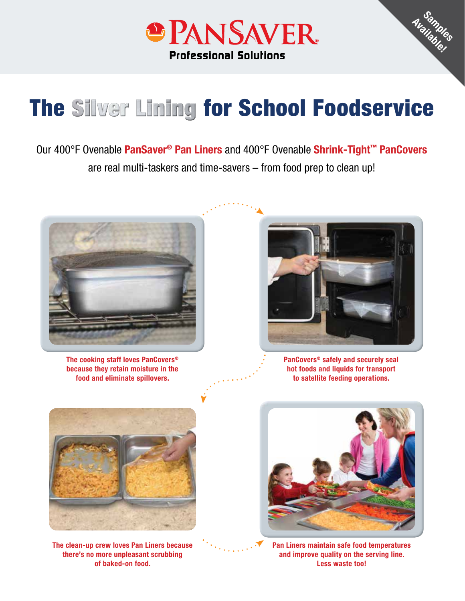

# **The Silver Lining for School Foodservice**

Our 400°F Ovenable **PanSaver® Pan Liners** and 400°F Ovenable **Shrink-Tight™ PanCovers** are real multi-taskers and time-savers – from food prep to clean up!



**The cooking staff loves PanCovers® because they retain moisture in the food and eliminate spillovers.**



**Samples Available!**

**PanCovers® safely and securely seal hot foods and liquids for transport to satellite feeding operations.**



**The clean-up crew loves Pan Liners because there's no more unpleasant scrubbing of baked-on food.**



**Pan Liners maintain safe food temperatures and improve quality on the serving line. Less waste too!**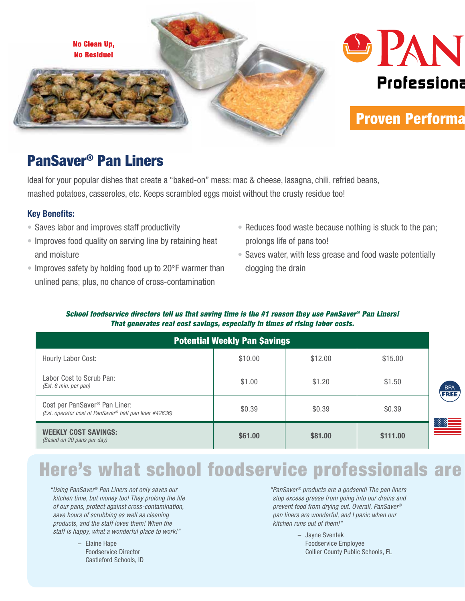

#### PanSaver® Pan Liners

Ideal for your popular dishes that create a "baked-on" mess: mac & cheese, lasagna, chili, refried beans, mashed potatoes, casseroles, etc. Keeps scrambled eggs moist without the crusty residue too!

#### **Key Benefits:**

- Saves labor and improves staff productivity
- Improves food quality on serving line by retaining heat and moisture
- Improves safety by holding food up to 20°F warmer than unlined pans; plus, no chance of cross-contamination
- Reduces food waste because nothing is stuck to the pan; prolongs life of pans too!
- Saves water, with less grease and food waste potentially clogging the drain

#### *School foodservice directors tell us that saving time is the #1 reason they use PanSaver® Pan Liners! That generates real cost savings, especially in times of rising labor costs.*

| <b>Potential Weekly Pan Savings</b>                                                                  |         |         |          |                    |  |  |
|------------------------------------------------------------------------------------------------------|---------|---------|----------|--------------------|--|--|
| Hourly Labor Cost:                                                                                   | \$10.00 | \$12.00 | \$15.00  |                    |  |  |
| Labor Cost to Scrub Pan:<br>(Est. 6 min. per pan)                                                    | \$1.00  | \$1.20  | \$1.50   | <b>BPA</b><br>FREI |  |  |
| Cost per PanSaver <sup>®</sup> Pan Liner:<br>(Est. operator cost of PanSaver® half pan liner #42636) | \$0.39  | \$0.39  | \$0.39   |                    |  |  |
| <b>WEEKLY COST SAVINGS:</b><br>(Based on 20 pans per day)                                            | \$61.00 | \$81.00 | \$111.00 |                    |  |  |

## Here's what school foodservice professionals are

*" Using PanSaver® Pan Liners not only saves our kitchen time, but money too! They prolong the life of our pans, protect against cross-contamination, save hours of scrubbing as well as cleaning products, and the staff loves them! When the staff is happy, what a wonderful place to work!"*

> – Elaine Hape Foodservice Director Castleford Schools, ID

*" PanSaver® products are a godsend! The pan liners stop excess grease from going into our drains and prevent food from drying out. Overall, PanSaver® pan liners are wonderful, and I panic when our kitchen runs out of them!"*

> – Jayne Sventek Foodservice Employee Collier County Public Schools, FL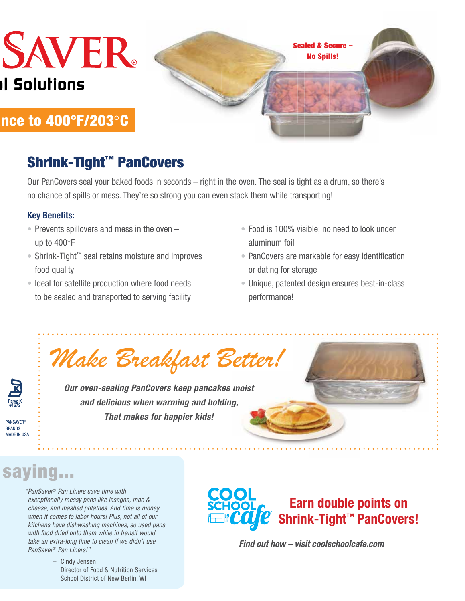# **SAVER I Solutions**

Sealed & Secure – No Spills!

#### nce to 400°F/203°C

#### Shrink-Tight™ PanCovers

Our PanCovers seal your baked foods in seconds – right in the oven. The seal is tight as a drum, so there's no chance of spills or mess. They're so strong you can even stack them while transporting!

#### **Key Benefits:**

- Prevents spillovers and mess in the oven up to 400°F
- Shrink-Tight™ seal retains moisture and improves food quality
- Ideal for satellite production where food needs to be sealed and transported to serving facility
- Food is 100% visible; no need to look under aluminum foil
- PanCovers are markable for easy identification or dating for storage
- Unique, patented design ensures best-in-class performance!

*Make Breakfast Better!*

*Our oven-sealing PanCovers keep pancakes moist and delicious when warming and holding. That makes for happier kids!*

**PANSAVER® BRANDS** MADE IN USA

## saying...

*" PanSaver® Pan Liners save time with exceptionally messy pans like lasagna, mac & cheese, and mashed potatoes. And time is money when it comes to labor hours! Plus, not all of our kitchens have dishwashing machines, so used pans with food dried onto them while in transit would take an extra-long time to clean if we didn't use PanSaver® Pan Liners!"*

> – Cindy Jensen Director of Food & Nutrition Services School District of New Berlin, WI



*Find out how – visit coolschoolcafe.com*